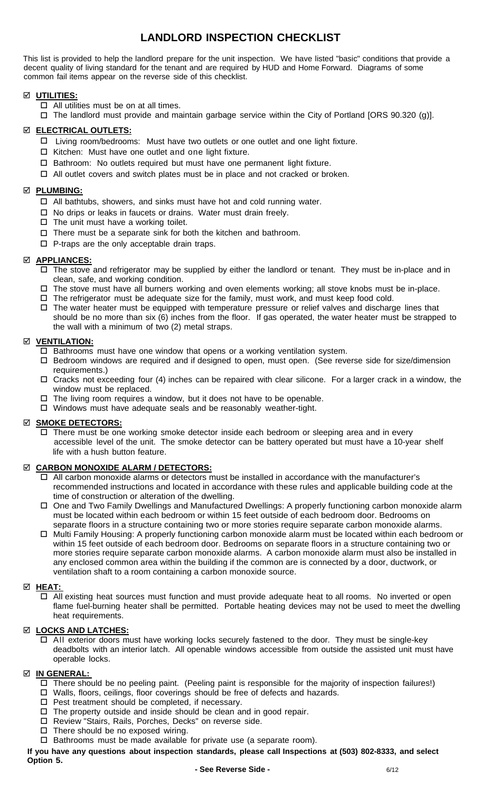# **LANDLORD INSPECTION CHECKLIST**

This list is provided to help the landlord prepare for the unit inspection. We have listed "basic" conditions that provide a decent quality of living standard for the tenant and are required by HUD and Home Forward. Diagrams of some common fail items appear on the reverse side of this checklist.

## **UTILITIES:**

- $\Box$  All utilities must be on at all times.
- The landlord must provide and maintain garbage service within the City of Portland [ORS 90.320 (g)].

### **ELECTRICAL OUTLETS:**

- Living room/bedrooms: Must have two outlets or one outlet and one light fixture.
- $\Box$  Kitchen: Must have one outlet and one light fixture.
- $\square$  Bathroom: No outlets required but must have one permanent light fixture.
- $\Box$  All outlet covers and switch plates must be in place and not cracked or broken.

#### **PLUMBING:**

- All bathtubs, showers, and sinks must have hot and cold running water.
- $\Box$  No drips or leaks in faucets or drains. Water must drain freely.
- $\Box$  The unit must have a working toilet.
- $\Box$  There must be a separate sink for both the kitchen and bathroom.
- $\Box$  P-traps are the only acceptable drain traps.

### **APPLIANCES:**

- $\Box$  The stove and refrigerator may be supplied by either the landlord or tenant. They must be in-place and in clean, safe, and working condition.
- $\Box$  The stove must have all burners working and oven elements working; all stove knobs must be in-place.
- $\Box$  The refrigerator must be adequate size for the family, must work, and must keep food cold.
- $\Box$  The water heater must be equipped with temperature pressure or relief valves and discharge lines that should be no more than six (6) inches from the floor. If gas operated, the water heater must be strapped to the wall with a minimum of two (2) metal straps.

#### **VENTILATION:**

- $\Box$  Bathrooms must have one window that opens or a working ventilation system.
- Bedroom windows are required and if designed to open, must open. (See reverse side for size/dimension requirements.)
- $\Box$  Cracks not exceeding four (4) inches can be repaired with clear silicone. For a larger crack in a window, the window must be replaced.
- $\Box$  The living room requires a window, but it does not have to be openable.
- Windows must have adequate seals and be reasonably weather-tight.

### **SMOKE DETECTORS:**

 $\Box$  There must be one working smoke detector inside each bedroom or sleeping area and in every accessible level of the unit. The smoke detector can be battery operated but must have a 10-year shelf life with a hush button feature.

### **CARBON MONOXIDE ALARM / DETECTORS:**

- $\Box$  All carbon monoxide alarms or detectors must be installed in accordance with the manufacturer's recommended instructions and located in accordance with these rules and applicable building code at the time of construction or alteration of the dwelling.
- One and Two Family Dwellings and Manufactured Dwellings: A properly functioning carbon monoxide alarm must be located within each bedroom or within 15 feet outside of each bedroom door. Bedrooms on separate floors in a structure containing two or more stories require separate carbon monoxide alarms.
- □ Multi Family Housing: A properly functioning carbon monoxide alarm must be located within each bedroom or within 15 feet outside of each bedroom door. Bedrooms on separate floors in a structure containing two or more stories require separate carbon monoxide alarms. A carbon monoxide alarm must also be installed in any enclosed common area within the building if the common are is connected by a door, ductwork, or ventilation shaft to a room containing a carbon monoxide source.

### **HEAT:**

 All existing heat sources must function and must provide adequate heat to all rooms. No inverted or open flame fuel-burning heater shall be permitted. Portable heating devices may not be used to meet the dwelling heat requirements.

### **Z LOCKS AND LATCHES:**

 All exterior doors must have working locks securely fastened to the door. They must be single-key deadbolts with an interior latch. All openable windows accessible from outside the assisted unit must have operable locks.

### **IN GENERAL:**

- There should be no peeling paint. (Peeling paint is responsible for the majority of inspection failures!)
- □ Walls, floors, ceilings, floor coverings should be free of defects and hazards.
- $\square$  Pest treatment should be completed, if necessary.
- $\Box$  The property outside and inside should be clean and in good repair.
- □ Review "Stairs, Rails, Porches, Decks" on reverse side.
- $\Box$  There should be no exposed wiring.
- $\Box$  Bathrooms must be made available for private use (a separate room).
- **If you have any questions about inspection standards, please call Inspections at (503) 802-8333, and select Option 5.**